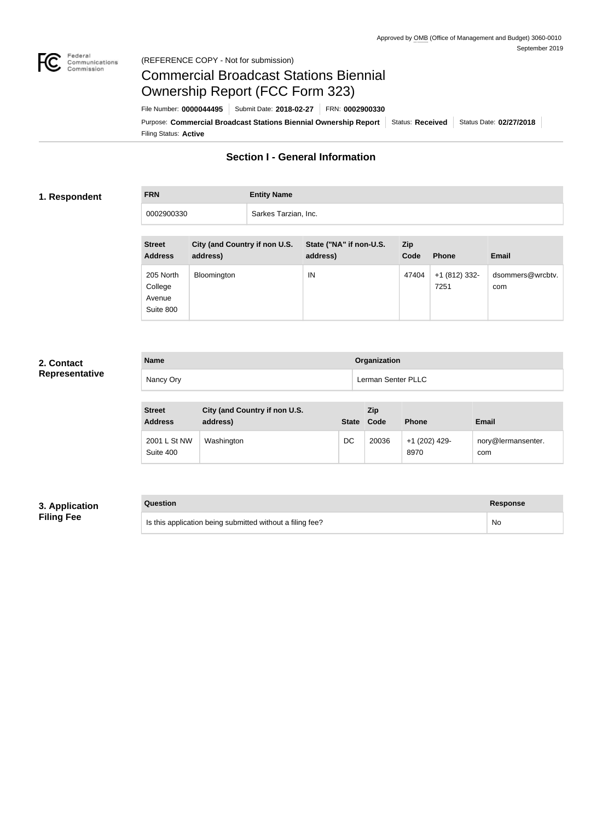

## Federal<br>Communications<br>Commission (REFERENCE COPY - Not for submission)

# Commercial Broadcast Stations Biennial Ownership Report (FCC Form 323)

Filing Status: **Active** Purpose: Commercial Broadcast Stations Biennial Ownership Report Status: Received Status Date: 02/27/2018 File Number: **0000044495** Submit Date: **2018-02-27** FRN: **0002900330**

# **Section I - General Information**

## **1. Respondent**

**FRN Entity Name**

0002900330 Sarkes Tarzian, Inc.

| <b>Street</b><br><b>Address</b>             | City (and Country if non U.S.<br>address) | State ("NA" if non-U.S.<br>address) | Zip<br>Code | <b>Phone</b>          | <b>Email</b>            |
|---------------------------------------------|-------------------------------------------|-------------------------------------|-------------|-----------------------|-------------------------|
| 205 North<br>College<br>Avenue<br>Suite 800 | Bloomington                               | IN                                  | 47404       | +1 (812) 332-<br>7251 | dsommers@wrcbtv.<br>com |

# **2. Contact Representative**

| <b>Name</b> | Organization       |
|-------------|--------------------|
| Nancy Ory   | Lerman Senter PLLC |

| <b>Street</b><br><b>Address</b> | City (and Country if non U.S.<br>address) | <b>State</b> | <b>Zip</b><br>Code | <b>Phone</b>          | <b>Email</b>              |
|---------------------------------|-------------------------------------------|--------------|--------------------|-----------------------|---------------------------|
| 2001 L St NW<br>Suite 400       | Washington                                | DC           | 20036              | +1 (202) 429-<br>8970 | nory@lermansenter.<br>com |

# **3. Application Filing Fee**

| Question                                                  | <b>Response</b> |
|-----------------------------------------------------------|-----------------|
| Is this application being submitted without a filing fee? | No              |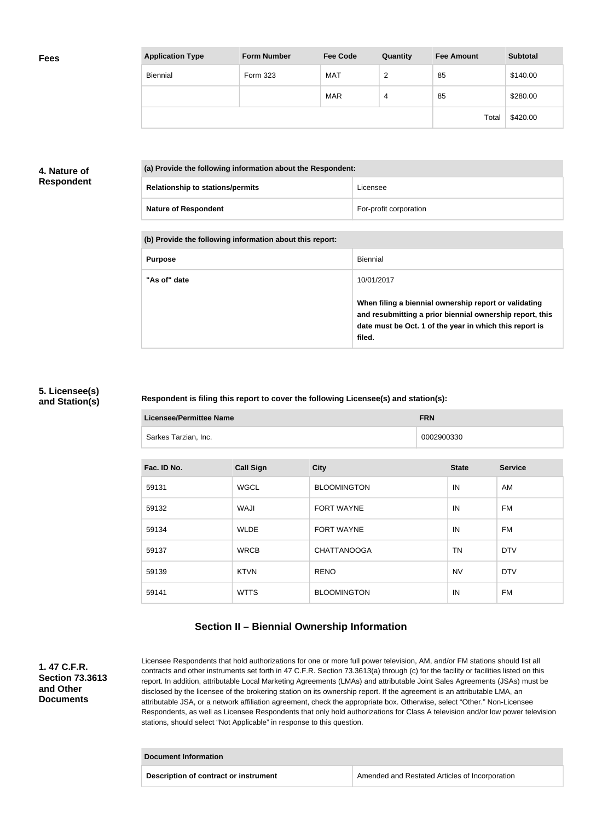| <b>Application Type</b> | <b>Form Number</b> | <b>Fee Code</b> | Quantity | <b>Fee Amount</b> | <b>Subtotal</b> |
|-------------------------|--------------------|-----------------|----------|-------------------|-----------------|
| Biennial                | <b>Form 323</b>    | <b>MAT</b>      | 2        | 85                | \$140.00        |
|                         |                    | <b>MAR</b>      | 4        | 85                | \$280.00        |
|                         |                    |                 |          | Total             | \$420.00        |

### **4. Nature of Respondent**

| (a) Provide the following information about the Respondent: |                        |  |
|-------------------------------------------------------------|------------------------|--|
| <b>Relationship to stations/permits</b>                     | Licensee               |  |
| <b>Nature of Respondent</b>                                 | For-profit corporation |  |

#### **(b) Provide the following information about this report:**

| <b>Purpose</b> | <b>Biennial</b>                                                                                                                                                                        |
|----------------|----------------------------------------------------------------------------------------------------------------------------------------------------------------------------------------|
| "As of" date   | 10/01/2017                                                                                                                                                                             |
|                | When filing a biennial ownership report or validating<br>and resubmitting a prior biennial ownership report, this<br>date must be Oct. 1 of the year in which this report is<br>filed. |

#### **5. Licensee(s) and Station(s)**

#### **Respondent is filing this report to cover the following Licensee(s) and station(s):**

| <b>Licensee/Permittee Name</b> |                  |                    | <b>FRN</b>   |                |  |
|--------------------------------|------------------|--------------------|--------------|----------------|--|
| Sarkes Tarzian, Inc.           |                  |                    | 0002900330   |                |  |
|                                |                  |                    |              |                |  |
| Fac. ID No.                    | <b>Call Sign</b> | <b>City</b>        | <b>State</b> | <b>Service</b> |  |
|                                |                  |                    |              |                |  |
| 59131                          | <b>WGCL</b>      | <b>BLOOMINGTON</b> | IN           | AM             |  |

| 59132 | WAJI        | <b>FORT WAYNE</b>  | IN        | <b>FM</b>  |
|-------|-------------|--------------------|-----------|------------|
| 59134 | <b>WLDE</b> | <b>FORT WAYNE</b>  | IN        | FM         |
| 59137 | <b>WRCB</b> | <b>CHATTANOOGA</b> | TN        | <b>DTV</b> |
| 59139 | <b>KTVN</b> | <b>RENO</b>        | <b>NV</b> | <b>DTV</b> |
| 59141 | <b>WTTS</b> | <b>BLOOMINGTON</b> | IN        | FM.        |

# **Section II – Biennial Ownership Information**

**1. 47 C.F.R. Section 73.3613 and Other Documents**

Licensee Respondents that hold authorizations for one or more full power television, AM, and/or FM stations should list all contracts and other instruments set forth in 47 C.F.R. Section 73.3613(a) through (c) for the facility or facilities listed on this report. In addition, attributable Local Marketing Agreements (LMAs) and attributable Joint Sales Agreements (JSAs) must be disclosed by the licensee of the brokering station on its ownership report. If the agreement is an attributable LMA, an attributable JSA, or a network affiliation agreement, check the appropriate box. Otherwise, select "Other." Non-Licensee Respondents, as well as Licensee Respondents that only hold authorizations for Class A television and/or low power television stations, should select "Not Applicable" in response to this question.

# **Document Information**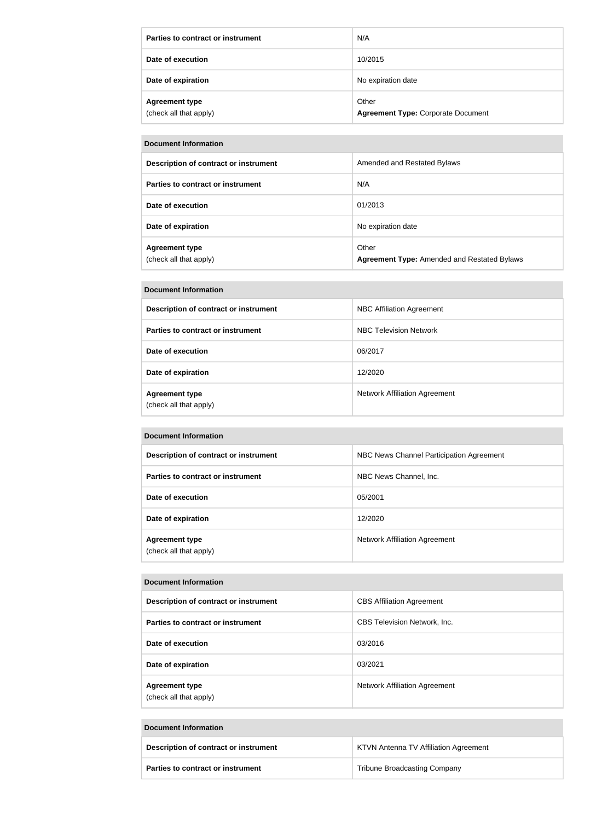| Parties to contract or instrument               | N/A                                                |
|-------------------------------------------------|----------------------------------------------------|
| Date of execution                               | 10/2015                                            |
| Date of expiration                              | No expiration date                                 |
| <b>Agreement type</b><br>(check all that apply) | Other<br><b>Agreement Type: Corporate Document</b> |

#### **Document Information**

| Description of contract or instrument           | Amended and Restated Bylaws                                 |
|-------------------------------------------------|-------------------------------------------------------------|
| Parties to contract or instrument               | N/A                                                         |
| Date of execution                               | 01/2013                                                     |
| Date of expiration                              | No expiration date                                          |
| <b>Agreement type</b><br>(check all that apply) | Other<br><b>Agreement Type: Amended and Restated Bylaws</b> |

| <b>Document Information</b>                     |                                      |  |
|-------------------------------------------------|--------------------------------------|--|
| Description of contract or instrument           | <b>NBC Affiliation Agreement</b>     |  |
| Parties to contract or instrument               | NBC Television Network               |  |
| Date of execution                               | 06/2017                              |  |
| Date of expiration                              | 12/2020                              |  |
| <b>Agreement type</b><br>(check all that apply) | <b>Network Affiliation Agreement</b> |  |

#### **Document Information**

| Description of contract or instrument           | NBC News Channel Participation Agreement |
|-------------------------------------------------|------------------------------------------|
| Parties to contract or instrument               | NBC News Channel, Inc.                   |
| Date of execution                               | 05/2001                                  |
| Date of expiration                              | 12/2020                                  |
| <b>Agreement type</b><br>(check all that apply) | Network Affiliation Agreement            |

#### **Document Information**

| Description of contract or instrument           | <b>CBS Affiliation Agreement</b>     |
|-------------------------------------------------|--------------------------------------|
| Parties to contract or instrument               | <b>CBS Television Network, Inc.</b>  |
| Date of execution                               | 03/2016                              |
| Date of expiration                              | 03/2021                              |
| <b>Agreement type</b><br>(check all that apply) | <b>Network Affiliation Agreement</b> |

#### **Document Information**

| Description of contract or instrument    | <b>KTVN Antenna TV Affiliation Agreement</b> |
|------------------------------------------|----------------------------------------------|
| <b>Parties to contract or instrument</b> | <b>Tribune Broadcasting Company</b>          |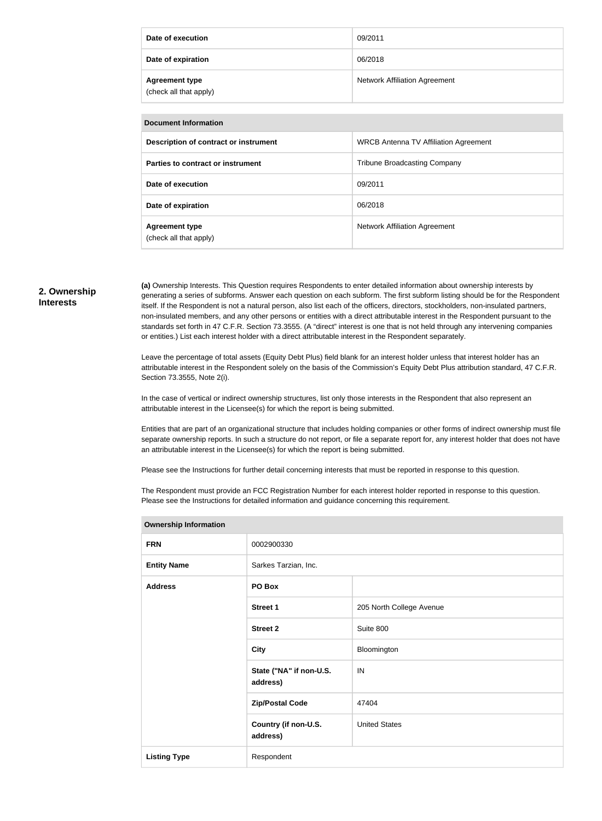| Date of execution                               | 09/2011                                      |  |
|-------------------------------------------------|----------------------------------------------|--|
| Date of expiration                              | 06/2018                                      |  |
| <b>Agreement type</b><br>(check all that apply) | <b>Network Affiliation Agreement</b>         |  |
|                                                 |                                              |  |
| <b>Document Information</b>                     |                                              |  |
| Description of contract or instrument           | <b>WRCB Antenna TV Affiliation Agreement</b> |  |
| Parties to contract or instrument               | <b>Tribune Broadcasting Company</b>          |  |
| Date of execution                               | 09/2011                                      |  |
|                                                 |                                              |  |

| <b>Agreement type</b>  | <b>Network Affiliation Agreement</b> |
|------------------------|--------------------------------------|
| (check all that apply) |                                      |
|                        |                                      |

**Date of expiration Date of expiration Date of expiration** 

#### **2. Ownership Interests**

**(a)** Ownership Interests. This Question requires Respondents to enter detailed information about ownership interests by generating a series of subforms. Answer each question on each subform. The first subform listing should be for the Respondent itself. If the Respondent is not a natural person, also list each of the officers, directors, stockholders, non-insulated partners, non-insulated members, and any other persons or entities with a direct attributable interest in the Respondent pursuant to the standards set forth in 47 C.F.R. Section 73.3555. (A "direct" interest is one that is not held through any intervening companies or entities.) List each interest holder with a direct attributable interest in the Respondent separately.

Leave the percentage of total assets (Equity Debt Plus) field blank for an interest holder unless that interest holder has an attributable interest in the Respondent solely on the basis of the Commission's Equity Debt Plus attribution standard, 47 C.F.R. Section 73.3555, Note 2(i).

In the case of vertical or indirect ownership structures, list only those interests in the Respondent that also represent an attributable interest in the Licensee(s) for which the report is being submitted.

Entities that are part of an organizational structure that includes holding companies or other forms of indirect ownership must file separate ownership reports. In such a structure do not report, or file a separate report for, any interest holder that does not have an attributable interest in the Licensee(s) for which the report is being submitted.

Please see the Instructions for further detail concerning interests that must be reported in response to this question.

**Ownership Information**

The Respondent must provide an FCC Registration Number for each interest holder reported in response to this question. Please see the Instructions for detailed information and guidance concerning this requirement.

| Ownership information |                                     |                          |
|-----------------------|-------------------------------------|--------------------------|
| <b>FRN</b>            | 0002900330                          |                          |
| <b>Entity Name</b>    | Sarkes Tarzian, Inc.                |                          |
| <b>Address</b>        | PO Box                              |                          |
|                       | <b>Street 1</b>                     | 205 North College Avenue |
|                       | <b>Street 2</b>                     | Suite 800                |
|                       | <b>City</b>                         | Bloomington              |
|                       | State ("NA" if non-U.S.<br>address) | IN                       |
|                       | <b>Zip/Postal Code</b>              | 47404                    |
|                       | Country (if non-U.S.<br>address)    | <b>United States</b>     |
| <b>Listing Type</b>   | Respondent                          |                          |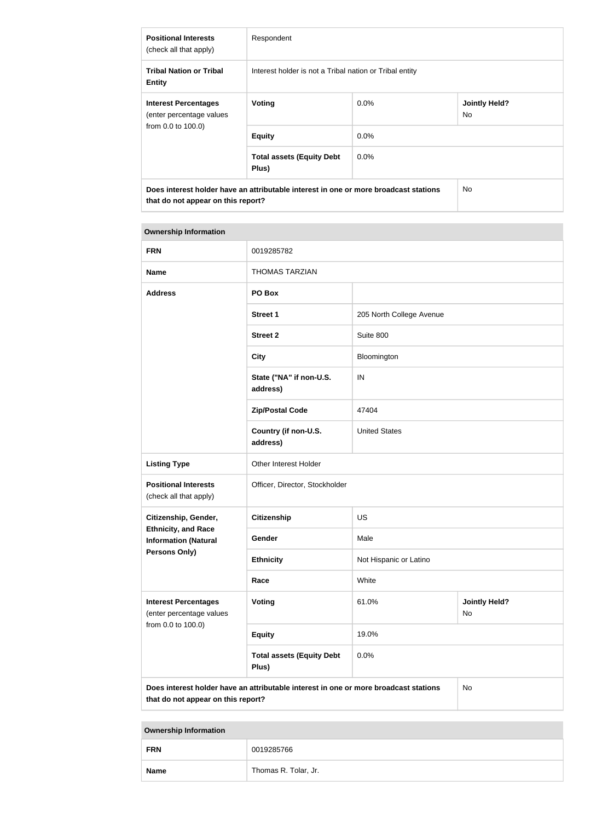| <b>Positional Interests</b><br>(check all that apply)                         | Respondent                                                                           |         |                             |
|-------------------------------------------------------------------------------|--------------------------------------------------------------------------------------|---------|-----------------------------|
| <b>Tribal Nation or Tribal</b><br><b>Entity</b>                               | Interest holder is not a Tribal nation or Tribal entity                              |         |                             |
| <b>Interest Percentages</b><br>(enter percentage values<br>from 0.0 to 100.0) | Voting                                                                               | $0.0\%$ | <b>Jointly Held?</b><br>No. |
|                                                                               | <b>Equity</b>                                                                        | 0.0%    |                             |
|                                                                               | <b>Total assets (Equity Debt</b><br>Plus)                                            | $0.0\%$ |                             |
| that do not appear on this report?                                            | Does interest holder have an attributable interest in one or more broadcast stations |         | No.                         |

| <b>FRN</b>                                                                                                                       | 0019285782                                |                          |                            |
|----------------------------------------------------------------------------------------------------------------------------------|-------------------------------------------|--------------------------|----------------------------|
| <b>Name</b>                                                                                                                      | <b>THOMAS TARZIAN</b>                     |                          |                            |
| <b>Address</b>                                                                                                                   | PO Box                                    |                          |                            |
|                                                                                                                                  | <b>Street 1</b>                           | 205 North College Avenue |                            |
|                                                                                                                                  | <b>Street 2</b>                           | Suite 800                |                            |
|                                                                                                                                  | <b>City</b>                               | Bloomington              |                            |
|                                                                                                                                  | State ("NA" if non-U.S.<br>address)       | IN                       |                            |
|                                                                                                                                  | <b>Zip/Postal Code</b>                    | 47404                    |                            |
|                                                                                                                                  | Country (if non-U.S.<br>address)          | <b>United States</b>     |                            |
| <b>Listing Type</b>                                                                                                              | Other Interest Holder                     |                          |                            |
| <b>Positional Interests</b><br>(check all that apply)                                                                            | Officer, Director, Stockholder            |                          |                            |
| Citizenship, Gender,                                                                                                             | <b>Citizenship</b>                        | <b>US</b>                |                            |
| <b>Ethnicity, and Race</b><br><b>Information (Natural</b>                                                                        | Gender                                    | Male                     |                            |
| Persons Only)                                                                                                                    | <b>Ethnicity</b>                          | Not Hispanic or Latino   |                            |
|                                                                                                                                  | Race                                      | White                    |                            |
| <b>Interest Percentages</b><br>(enter percentage values<br>from 0.0 to 100.0)                                                    | <b>Voting</b>                             | 61.0%                    | <b>Jointly Held?</b><br>No |
|                                                                                                                                  | <b>Equity</b>                             | 19.0%                    |                            |
|                                                                                                                                  | <b>Total assets (Equity Debt</b><br>Plus) | 0.0%                     |                            |
| Does interest holder have an attributable interest in one or more broadcast stations<br>No<br>that do not appear on this report? |                                           |                          |                            |

| <b>FRN</b>  | 0019285766           |
|-------------|----------------------|
| <b>Name</b> | Thomas R. Tolar, Jr. |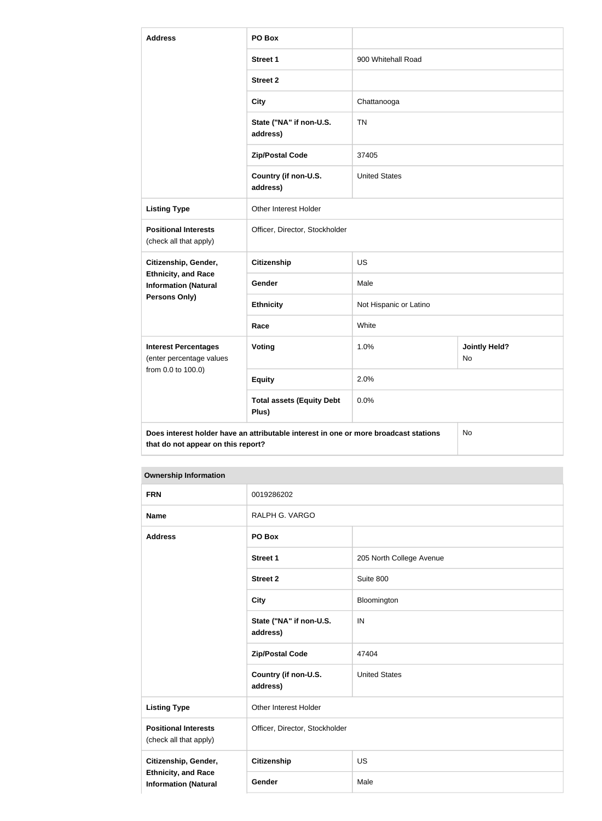| <b>Address</b>                                                                                                                   | PO Box                                    |                        |                                   |
|----------------------------------------------------------------------------------------------------------------------------------|-------------------------------------------|------------------------|-----------------------------------|
|                                                                                                                                  | <b>Street 1</b>                           | 900 Whitehall Road     |                                   |
|                                                                                                                                  | <b>Street 2</b>                           |                        |                                   |
|                                                                                                                                  | <b>City</b>                               | Chattanooga            |                                   |
|                                                                                                                                  | State ("NA" if non-U.S.<br>address)       | <b>TN</b>              |                                   |
|                                                                                                                                  | <b>Zip/Postal Code</b>                    | 37405                  |                                   |
|                                                                                                                                  | Country (if non-U.S.<br>address)          | <b>United States</b>   |                                   |
| <b>Listing Type</b>                                                                                                              | Other Interest Holder                     |                        |                                   |
| <b>Positional Interests</b><br>(check all that apply)                                                                            | Officer, Director, Stockholder            |                        |                                   |
| Citizenship, Gender,                                                                                                             | <b>Citizenship</b>                        | <b>US</b>              |                                   |
| <b>Ethnicity, and Race</b><br><b>Information (Natural</b>                                                                        | <b>Gender</b>                             | Male                   |                                   |
| <b>Persons Only)</b>                                                                                                             | <b>Ethnicity</b>                          | Not Hispanic or Latino |                                   |
|                                                                                                                                  | Race                                      | White                  |                                   |
| <b>Interest Percentages</b><br>(enter percentage values<br>from 0.0 to 100.0)                                                    | Voting                                    | 1.0%                   | <b>Jointly Held?</b><br><b>No</b> |
|                                                                                                                                  | <b>Equity</b>                             | 2.0%                   |                                   |
|                                                                                                                                  | <b>Total assets (Equity Debt</b><br>Plus) | 0.0%                   |                                   |
| Does interest holder have an attributable interest in one or more broadcast stations<br>No<br>that do not appear on this report? |                                           |                        |                                   |

| <b>FRN</b>                                                | 0019286202                          |                          |
|-----------------------------------------------------------|-------------------------------------|--------------------------|
| <b>Name</b>                                               | RALPH G. VARGO                      |                          |
| <b>Address</b>                                            | PO Box                              |                          |
|                                                           | <b>Street 1</b>                     | 205 North College Avenue |
|                                                           | <b>Street 2</b>                     | Suite 800                |
|                                                           | <b>City</b>                         | Bloomington              |
|                                                           | State ("NA" if non-U.S.<br>address) | IN                       |
|                                                           | <b>Zip/Postal Code</b>              | 47404                    |
|                                                           | Country (if non-U.S.<br>address)    | <b>United States</b>     |
| <b>Listing Type</b>                                       | Other Interest Holder               |                          |
| <b>Positional Interests</b><br>(check all that apply)     | Officer, Director, Stockholder      |                          |
| Citizenship, Gender,                                      | <b>Citizenship</b>                  | <b>US</b>                |
| <b>Ethnicity, and Race</b><br><b>Information (Natural</b> | Gender                              | Male                     |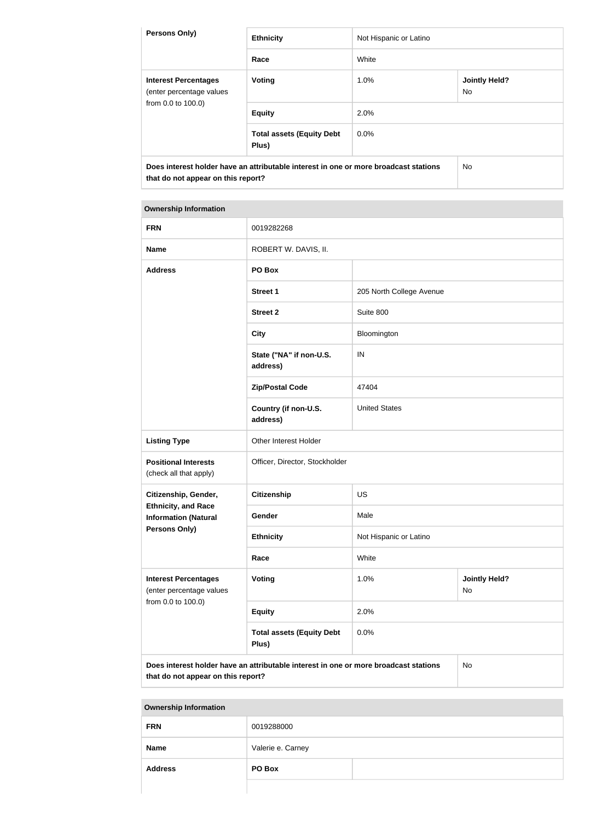| <b>Persons Only)</b>                                                                                                       | <b>Ethnicity</b>                          | Not Hispanic or Latino |                             |
|----------------------------------------------------------------------------------------------------------------------------|-------------------------------------------|------------------------|-----------------------------|
|                                                                                                                            | Race                                      | White                  |                             |
| <b>Interest Percentages</b><br>(enter percentage values<br>from 0.0 to 100.0)                                              | <b>Voting</b>                             | $1.0\%$                | <b>Jointly Held?</b><br>No. |
|                                                                                                                            | <b>Equity</b>                             | 2.0%                   |                             |
|                                                                                                                            | <b>Total assets (Equity Debt</b><br>Plus) | $0.0\%$                |                             |
| Does interest holder have an attributable interest in one or more broadcast stations<br>that do not appear on this report? |                                           | No.                    |                             |

| <b>FRN</b>                                                | 0019282268                                                                           |                          |                            |
|-----------------------------------------------------------|--------------------------------------------------------------------------------------|--------------------------|----------------------------|
| <b>Name</b>                                               | ROBERT W. DAVIS, II.                                                                 |                          |                            |
| <b>Address</b>                                            | PO Box                                                                               |                          |                            |
|                                                           | <b>Street 1</b>                                                                      | 205 North College Avenue |                            |
|                                                           | <b>Street 2</b>                                                                      | Suite 800                |                            |
|                                                           | <b>City</b>                                                                          | Bloomington              |                            |
|                                                           | State ("NA" if non-U.S.<br>address)                                                  | IN                       |                            |
|                                                           | <b>Zip/Postal Code</b>                                                               | 47404                    |                            |
|                                                           | Country (if non-U.S.<br>address)                                                     | <b>United States</b>     |                            |
| <b>Listing Type</b>                                       | Other Interest Holder                                                                |                          |                            |
| <b>Positional Interests</b><br>(check all that apply)     | Officer, Director, Stockholder                                                       |                          |                            |
| Citizenship, Gender,                                      | <b>Citizenship</b>                                                                   | <b>US</b>                |                            |
| <b>Ethnicity, and Race</b><br><b>Information (Natural</b> | Gender                                                                               | Male                     |                            |
| Persons Only)                                             | <b>Ethnicity</b>                                                                     | Not Hispanic or Latino   |                            |
|                                                           | Race                                                                                 | White                    |                            |
| <b>Interest Percentages</b><br>(enter percentage values   | Voting                                                                               | 1.0%                     | <b>Jointly Held?</b><br>No |
| from 0.0 to 100.0)                                        | <b>Equity</b>                                                                        | 2.0%                     |                            |
|                                                           | <b>Total assets (Equity Debt</b><br>Plus)                                            | 0.0%                     |                            |
|                                                           | Does interest holder have an attributable interest in one or more broadcast stations |                          | No                         |

**that do not appear on this report?**

| --             |                   |
|----------------|-------------------|
| <b>FRN</b>     | 0019288000        |
| <b>Name</b>    | Valerie e. Carney |
| <b>Address</b> | PO Box            |
|                |                   |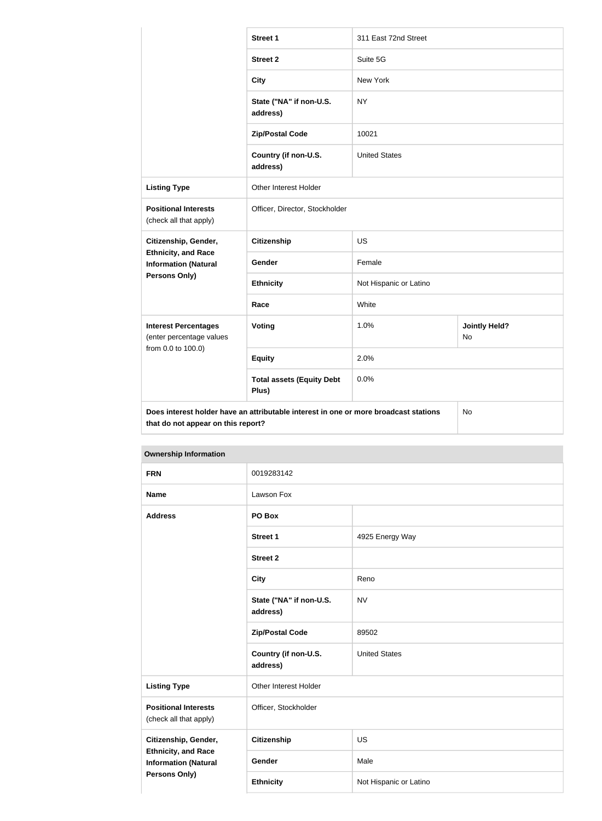|                                                           | <b>Street 1</b>                                                                      | 311 East 72nd Street   |                                   |  |
|-----------------------------------------------------------|--------------------------------------------------------------------------------------|------------------------|-----------------------------------|--|
|                                                           | <b>Street 2</b>                                                                      | Suite 5G               |                                   |  |
|                                                           | <b>City</b>                                                                          | New York               |                                   |  |
|                                                           | State ("NA" if non-U.S.<br>address)                                                  | <b>NY</b>              |                                   |  |
|                                                           | <b>Zip/Postal Code</b>                                                               | 10021                  |                                   |  |
|                                                           | Country (if non-U.S.<br>address)                                                     | <b>United States</b>   |                                   |  |
| <b>Listing Type</b>                                       | Other Interest Holder                                                                |                        |                                   |  |
| <b>Positional Interests</b><br>(check all that apply)     | Officer, Director, Stockholder                                                       |                        |                                   |  |
| Citizenship, Gender,                                      | <b>Citizenship</b>                                                                   | <b>US</b>              |                                   |  |
| <b>Ethnicity, and Race</b><br><b>Information (Natural</b> | Gender                                                                               | Female                 |                                   |  |
| Persons Only)                                             | <b>Ethnicity</b>                                                                     | Not Hispanic or Latino |                                   |  |
|                                                           | Race                                                                                 | White                  |                                   |  |
| <b>Interest Percentages</b><br>(enter percentage values   | <b>Voting</b>                                                                        | 1.0%                   | <b>Jointly Held?</b><br><b>No</b> |  |
| from 0.0 to 100.0)                                        | <b>Equity</b>                                                                        | 2.0%                   |                                   |  |
|                                                           | <b>Total assets (Equity Debt</b><br>Plus)                                            | 0.0%                   |                                   |  |
| that do not appear on this report?                        | Does interest holder have an attributable interest in one or more broadcast stations |                        | No                                |  |

| <b>Ownership Information</b>                                                      |                                     |                        |  |
|-----------------------------------------------------------------------------------|-------------------------------------|------------------------|--|
| <b>FRN</b>                                                                        | 0019283142                          |                        |  |
| <b>Name</b>                                                                       | Lawson Fox                          |                        |  |
| <b>Address</b>                                                                    | PO Box                              |                        |  |
|                                                                                   | <b>Street 1</b>                     | 4925 Energy Way        |  |
|                                                                                   | <b>Street 2</b>                     |                        |  |
|                                                                                   | <b>City</b>                         | Reno                   |  |
|                                                                                   | State ("NA" if non-U.S.<br>address) | <b>NV</b>              |  |
|                                                                                   | <b>Zip/Postal Code</b>              | 89502                  |  |
|                                                                                   | Country (if non-U.S.<br>address)    | <b>United States</b>   |  |
| <b>Listing Type</b>                                                               | Other Interest Holder               |                        |  |
| <b>Positional Interests</b><br>(check all that apply)                             | Officer, Stockholder                |                        |  |
| Citizenship, Gender,                                                              | Citizenship                         | US                     |  |
| <b>Ethnicity, and Race</b><br><b>Information (Natural</b><br><b>Persons Only)</b> | Gender                              | Male                   |  |
|                                                                                   | <b>Ethnicity</b>                    | Not Hispanic or Latino |  |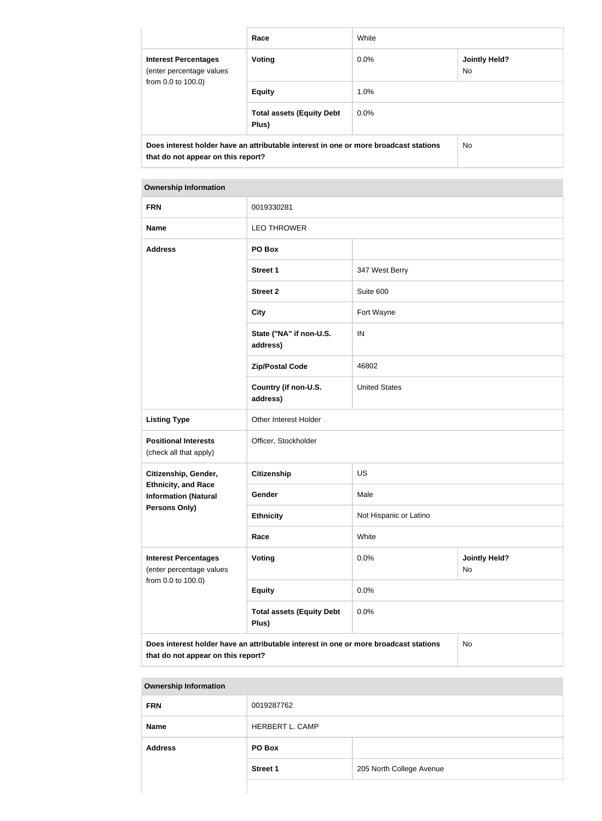|                                                                                                                            | Race                                      | White   |                             |
|----------------------------------------------------------------------------------------------------------------------------|-------------------------------------------|---------|-----------------------------|
| <b>Interest Percentages</b><br>(enter percentage values<br>from 0.0 to 100.0)                                              | <b>Voting</b>                             | $0.0\%$ | <b>Jointly Held?</b><br>No. |
|                                                                                                                            | <b>Equity</b>                             | 1.0%    |                             |
|                                                                                                                            | <b>Total assets (Equity Debt</b><br>Plus) | $0.0\%$ |                             |
| Does interest holder have an attributable interest in one or more broadcast stations<br>that do not appear on this report? |                                           | No.     |                             |

| <b>Ownership Information</b>                              |                                                                                      |                                    |    |
|-----------------------------------------------------------|--------------------------------------------------------------------------------------|------------------------------------|----|
| <b>FRN</b>                                                | 0019330281                                                                           |                                    |    |
| <b>Name</b>                                               | <b>LEO THROWER</b>                                                                   |                                    |    |
| <b>Address</b>                                            | PO Box                                                                               |                                    |    |
|                                                           | <b>Street 1</b>                                                                      | 347 West Berry                     |    |
|                                                           | <b>Street 2</b>                                                                      | Suite 600                          |    |
|                                                           | <b>City</b>                                                                          | Fort Wayne                         |    |
|                                                           | State ("NA" if non-U.S.<br>address)                                                  | IN                                 |    |
|                                                           | <b>Zip/Postal Code</b>                                                               | 46802                              |    |
|                                                           | Country (if non-U.S.<br>address)                                                     | <b>United States</b>               |    |
| <b>Listing Type</b>                                       | Other Interest Holder                                                                |                                    |    |
| <b>Positional Interests</b><br>(check all that apply)     | Officer, Stockholder                                                                 |                                    |    |
| Citizenship, Gender,                                      | Citizenship                                                                          | <b>US</b>                          |    |
| <b>Ethnicity, and Race</b><br><b>Information (Natural</b> | Gender                                                                               | Male                               |    |
| <b>Persons Only)</b>                                      | <b>Ethnicity</b>                                                                     | Not Hispanic or Latino             |    |
|                                                           | Race                                                                                 | White                              |    |
| <b>Interest Percentages</b><br>(enter percentage values   | Voting                                                                               | 0.0%<br><b>Jointly Held?</b><br>No |    |
| from 0.0 to 100.0)                                        | <b>Equity</b>                                                                        | 0.0%                               |    |
|                                                           | <b>Total assets (Equity Debt</b><br>Plus)                                            | 0.0%                               |    |
| that do not appear on this report?                        | Does interest holder have an attributable interest in one or more broadcast stations |                                    | No |

| <b>FRN</b>     | 0019287762      |                          |
|----------------|-----------------|--------------------------|
| <b>Name</b>    | HERBERT L. CAMP |                          |
| <b>Address</b> | PO Box          |                          |
|                | <b>Street 1</b> | 205 North College Avenue |
|                |                 |                          |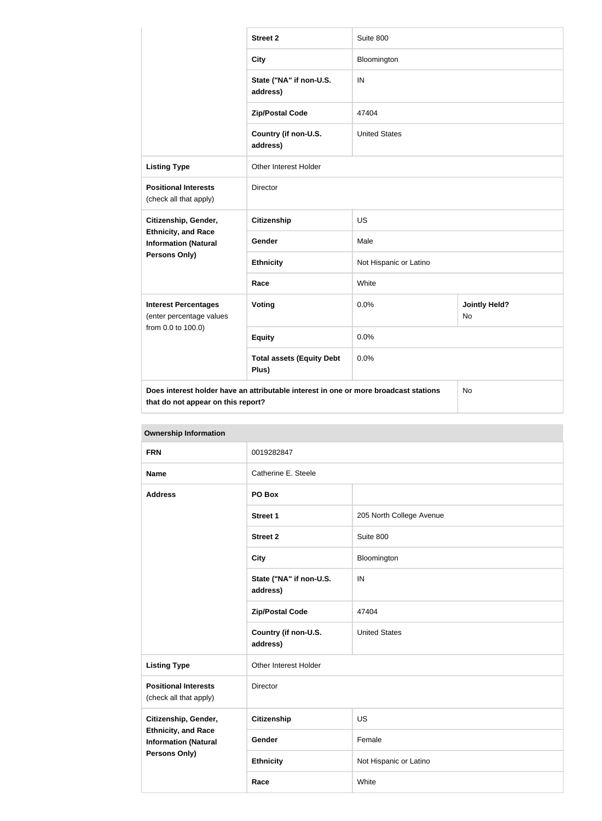|                                                           | <b>Street 2</b>                                                                      | Suite 800              |                                   |
|-----------------------------------------------------------|--------------------------------------------------------------------------------------|------------------------|-----------------------------------|
|                                                           | <b>City</b>                                                                          | Bloomington            |                                   |
|                                                           | State ("NA" if non-U.S.<br>address)                                                  | IN                     |                                   |
|                                                           | <b>Zip/Postal Code</b>                                                               | 47404                  |                                   |
|                                                           | Country (if non-U.S.<br>address)                                                     | <b>United States</b>   |                                   |
| <b>Listing Type</b>                                       | Other Interest Holder                                                                |                        |                                   |
| <b>Positional Interests</b><br>(check all that apply)     | Director                                                                             |                        |                                   |
| Citizenship, Gender,                                      | <b>Citizenship</b>                                                                   | <b>US</b>              |                                   |
| <b>Ethnicity, and Race</b><br><b>Information (Natural</b> | Gender                                                                               | Male                   |                                   |
| <b>Persons Only)</b>                                      | <b>Ethnicity</b>                                                                     | Not Hispanic or Latino |                                   |
|                                                           | Race                                                                                 | White                  |                                   |
| <b>Interest Percentages</b><br>(enter percentage values   | Voting                                                                               | 0.0%                   | <b>Jointly Held?</b><br><b>No</b> |
| from 0.0 to 100.0)                                        | <b>Equity</b>                                                                        | 0.0%                   |                                   |
|                                                           | <b>Total assets (Equity Debt</b><br>Plus)                                            | 0.0%                   |                                   |
| that do not appear on this report?                        | Does interest holder have an attributable interest in one or more broadcast stations |                        | No                                |

| <b>Ownership Information</b>                                                      |                                     |                          |  |
|-----------------------------------------------------------------------------------|-------------------------------------|--------------------------|--|
| <b>FRN</b>                                                                        | 0019282847                          |                          |  |
| <b>Name</b>                                                                       | Catherine E. Steele                 |                          |  |
| <b>Address</b>                                                                    | PO Box                              |                          |  |
|                                                                                   | Street 1                            | 205 North College Avenue |  |
|                                                                                   | <b>Street 2</b>                     | Suite 800                |  |
|                                                                                   | <b>City</b>                         | Bloomington              |  |
|                                                                                   | State ("NA" if non-U.S.<br>address) | IN                       |  |
|                                                                                   | <b>Zip/Postal Code</b>              | 47404                    |  |
|                                                                                   | Country (if non-U.S.<br>address)    | <b>United States</b>     |  |
| <b>Listing Type</b>                                                               | Other Interest Holder               |                          |  |
| <b>Positional Interests</b><br>(check all that apply)                             | Director                            |                          |  |
| Citizenship, Gender,<br><b>Ethnicity, and Race</b><br><b>Information (Natural</b> | <b>Citizenship</b>                  | US                       |  |
|                                                                                   | Gender                              | Female                   |  |
| <b>Persons Only)</b>                                                              | <b>Ethnicity</b>                    | Not Hispanic or Latino   |  |

**Race** White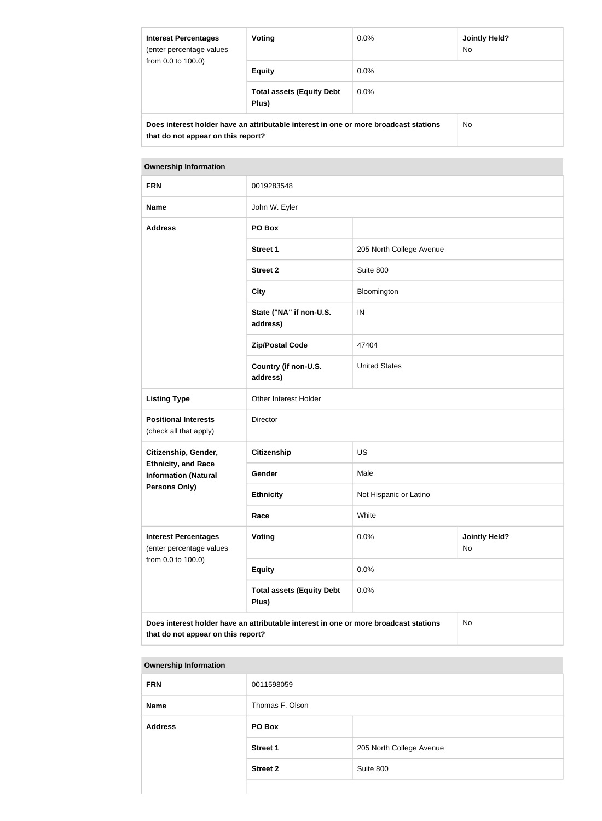| <b>Interest Percentages</b><br>(enter percentage values<br>from 0.0 to 100.0)                                              | Voting                                    | $0.0\%$ | Jointly Held?<br><b>No</b> |
|----------------------------------------------------------------------------------------------------------------------------|-------------------------------------------|---------|----------------------------|
|                                                                                                                            | <b>Equity</b>                             | $0.0\%$ |                            |
|                                                                                                                            | <b>Total assets (Equity Debt</b><br>Plus) | $0.0\%$ |                            |
| Does interest holder have an attributable interest in one or more broadcast stations<br>that do not appear on this report? |                                           | No.     |                            |

| <b>FRN</b>                                                | 0019283548                                                                           |                          |                            |
|-----------------------------------------------------------|--------------------------------------------------------------------------------------|--------------------------|----------------------------|
| <b>Name</b>                                               | John W. Eyler                                                                        |                          |                            |
| <b>Address</b>                                            | PO Box                                                                               |                          |                            |
|                                                           | <b>Street 1</b>                                                                      | 205 North College Avenue |                            |
|                                                           | <b>Street 2</b>                                                                      | Suite 800                |                            |
|                                                           | <b>City</b>                                                                          | Bloomington              |                            |
|                                                           | State ("NA" if non-U.S.<br>address)                                                  | IN                       |                            |
|                                                           | <b>Zip/Postal Code</b>                                                               | 47404                    |                            |
|                                                           | Country (if non-U.S.<br>address)                                                     | <b>United States</b>     |                            |
| <b>Listing Type</b>                                       | Other Interest Holder                                                                |                          |                            |
| <b>Positional Interests</b><br>(check all that apply)     | Director                                                                             |                          |                            |
| Citizenship, Gender,                                      | <b>Citizenship</b>                                                                   | <b>US</b>                |                            |
| <b>Ethnicity, and Race</b><br><b>Information (Natural</b> | Gender                                                                               | Male                     |                            |
| <b>Persons Only)</b>                                      | <b>Ethnicity</b>                                                                     | Not Hispanic or Latino   |                            |
|                                                           | Race                                                                                 | White                    |                            |
| <b>Interest Percentages</b><br>(enter percentage values   | <b>Voting</b>                                                                        | 0.0%                     | <b>Jointly Held?</b><br>No |
| from 0.0 to 100.0)                                        | <b>Equity</b>                                                                        | 0.0%                     |                            |
|                                                           | <b>Total assets (Equity Debt</b><br>Plus)                                            | 0.0%                     |                            |
| that do not appear on this report?                        | Does interest holder have an attributable interest in one or more broadcast stations |                          | No                         |

| <b>Ownership Information</b> |                 |                          |
|------------------------------|-----------------|--------------------------|
| <b>FRN</b>                   | 0011598059      |                          |
| <b>Name</b>                  | Thomas F. Olson |                          |
| <b>Address</b>               | PO Box          |                          |
|                              | <b>Street 1</b> | 205 North College Avenue |
|                              | <b>Street 2</b> | Suite 800                |
|                              |                 |                          |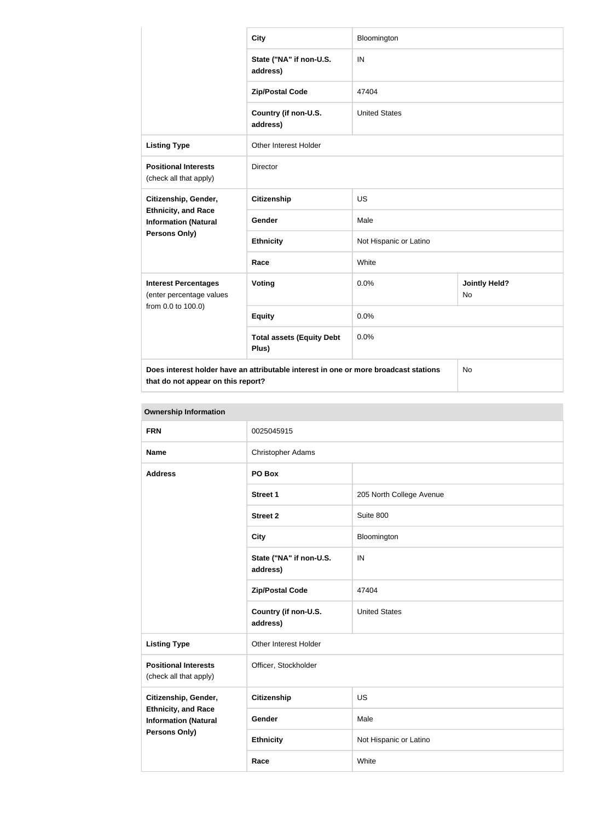|                                                                                                                                         | <b>City</b>                               | Bloomington            |                                   |  |
|-----------------------------------------------------------------------------------------------------------------------------------------|-------------------------------------------|------------------------|-----------------------------------|--|
|                                                                                                                                         | State ("NA" if non-U.S.<br>address)       | IN                     |                                   |  |
|                                                                                                                                         | <b>Zip/Postal Code</b>                    | 47404                  |                                   |  |
|                                                                                                                                         | Country (if non-U.S.<br>address)          | <b>United States</b>   |                                   |  |
| <b>Listing Type</b>                                                                                                                     | <b>Other Interest Holder</b>              |                        |                                   |  |
| <b>Positional Interests</b><br>(check all that apply)                                                                                   | Director                                  |                        |                                   |  |
| Citizenship, Gender,<br><b>Ethnicity, and Race</b><br><b>Information (Natural</b><br>Persons Only)                                      | <b>Citizenship</b>                        | <b>US</b>              |                                   |  |
|                                                                                                                                         | <b>Gender</b>                             | Male                   |                                   |  |
|                                                                                                                                         | <b>Ethnicity</b>                          | Not Hispanic or Latino |                                   |  |
|                                                                                                                                         | Race                                      | White                  |                                   |  |
| <b>Interest Percentages</b><br>(enter percentage values<br>from 0.0 to 100.0)                                                           | Voting                                    | 0.0%                   | <b>Jointly Held?</b><br><b>No</b> |  |
|                                                                                                                                         | <b>Equity</b>                             | 0.0%                   |                                   |  |
|                                                                                                                                         | <b>Total assets (Equity Debt</b><br>Plus) | 0.0%                   |                                   |  |
| Does interest holder have an attributable interest in one or more broadcast stations<br><b>No</b><br>that do not appear on this report? |                                           |                        |                                   |  |

| <b>Ownership Information</b>                                                                              |                                     |                          |  |
|-----------------------------------------------------------------------------------------------------------|-------------------------------------|--------------------------|--|
| <b>FRN</b>                                                                                                | 0025045915                          |                          |  |
| <b>Name</b>                                                                                               | <b>Christopher Adams</b>            |                          |  |
| <b>Address</b>                                                                                            | PO Box                              |                          |  |
|                                                                                                           | <b>Street 1</b>                     | 205 North College Avenue |  |
|                                                                                                           | <b>Street 2</b>                     | Suite 800                |  |
|                                                                                                           | <b>City</b>                         | Bloomington              |  |
|                                                                                                           | State ("NA" if non-U.S.<br>address) | IN                       |  |
|                                                                                                           | <b>Zip/Postal Code</b>              | 47404                    |  |
|                                                                                                           | Country (if non-U.S.<br>address)    | <b>United States</b>     |  |
| <b>Listing Type</b>                                                                                       | Other Interest Holder               |                          |  |
| <b>Positional Interests</b><br>(check all that apply)                                                     | Officer, Stockholder                |                          |  |
| Citizenship, Gender,<br><b>Ethnicity, and Race</b><br><b>Information (Natural</b><br><b>Persons Only)</b> | Citizenship                         | <b>US</b>                |  |
|                                                                                                           | Gender                              | Male                     |  |
|                                                                                                           | <b>Ethnicity</b>                    | Not Hispanic or Latino   |  |
|                                                                                                           | Race                                | White                    |  |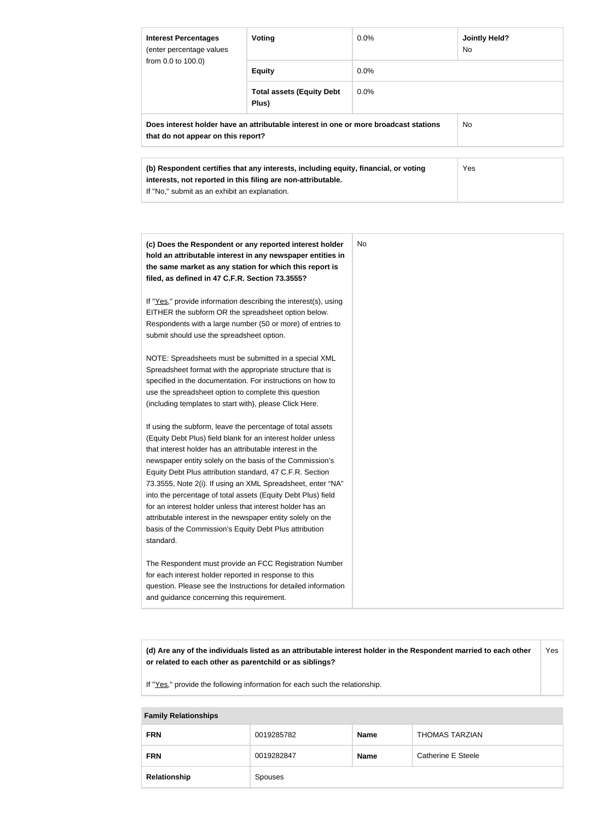| <b>Interest Percentages</b><br>(enter percentage values<br>from 0.0 to 100.0)                                              | Voting                                                                                                                                              | <b>Jointly Held?</b><br>$0.0\%$<br>No. |            |
|----------------------------------------------------------------------------------------------------------------------------|-----------------------------------------------------------------------------------------------------------------------------------------------------|----------------------------------------|------------|
|                                                                                                                            | <b>Equity</b>                                                                                                                                       | $0.0\%$                                |            |
|                                                                                                                            | <b>Total assets (Equity Debt</b><br>Plus)                                                                                                           | $0.0\%$                                |            |
| Does interest holder have an attributable interest in one or more broadcast stations<br>that do not appear on this report? |                                                                                                                                                     |                                        | No.        |
| If "No," submit as an exhibit an explanation.                                                                              | (b) Respondent certifies that any interests, including equity, financial, or voting<br>interests, not reported in this filing are non-attributable. |                                        | <b>Yes</b> |

| (c) Does the Respondent or any reported interest holder<br>hold an attributable interest in any newspaper entities in<br>the same market as any station for which this report is<br>filed, as defined in 47 C.F.R. Section 73.3555?                                                                                                                                                                                                                                                                                                                                                                                                              | No. |
|--------------------------------------------------------------------------------------------------------------------------------------------------------------------------------------------------------------------------------------------------------------------------------------------------------------------------------------------------------------------------------------------------------------------------------------------------------------------------------------------------------------------------------------------------------------------------------------------------------------------------------------------------|-----|
| If "Yes," provide information describing the interest(s), using<br>EITHER the subform OR the spreadsheet option below.<br>Respondents with a large number (50 or more) of entries to<br>submit should use the spreadsheet option.                                                                                                                                                                                                                                                                                                                                                                                                                |     |
| NOTE: Spreadsheets must be submitted in a special XML<br>Spreadsheet format with the appropriate structure that is<br>specified in the documentation. For instructions on how to<br>use the spreadsheet option to complete this question<br>(including templates to start with), please Click Here.                                                                                                                                                                                                                                                                                                                                              |     |
| If using the subform, leave the percentage of total assets<br>(Equity Debt Plus) field blank for an interest holder unless<br>that interest holder has an attributable interest in the<br>newspaper entity solely on the basis of the Commission's<br>Equity Debt Plus attribution standard, 47 C.F.R. Section<br>73.3555, Note 2(i). If using an XML Spreadsheet, enter "NA"<br>into the percentage of total assets (Equity Debt Plus) field<br>for an interest holder unless that interest holder has an<br>attributable interest in the newspaper entity solely on the<br>basis of the Commission's Equity Debt Plus attribution<br>standard. |     |
| The Respondent must provide an FCC Registration Number<br>for each interest holder reported in response to this<br>question. Please see the Instructions for detailed information<br>and guidance concerning this requirement.                                                                                                                                                                                                                                                                                                                                                                                                                   |     |

**(d) Are any of the individuals listed as an attributable interest holder in the Respondent married to each other or related to each other as parentchild or as siblings?** Yes

If "Yes," provide the following information for each such the relationship.

#### **Family Relationships**

| <b>FRN</b>   | 0019285782 | <b>Name</b> | <b>THOMAS TARZIAN</b> |
|--------------|------------|-------------|-----------------------|
| <b>FRN</b>   | 0019282847 | <b>Name</b> | Catherine E Steele    |
| Relationship | Spouses    |             |                       |